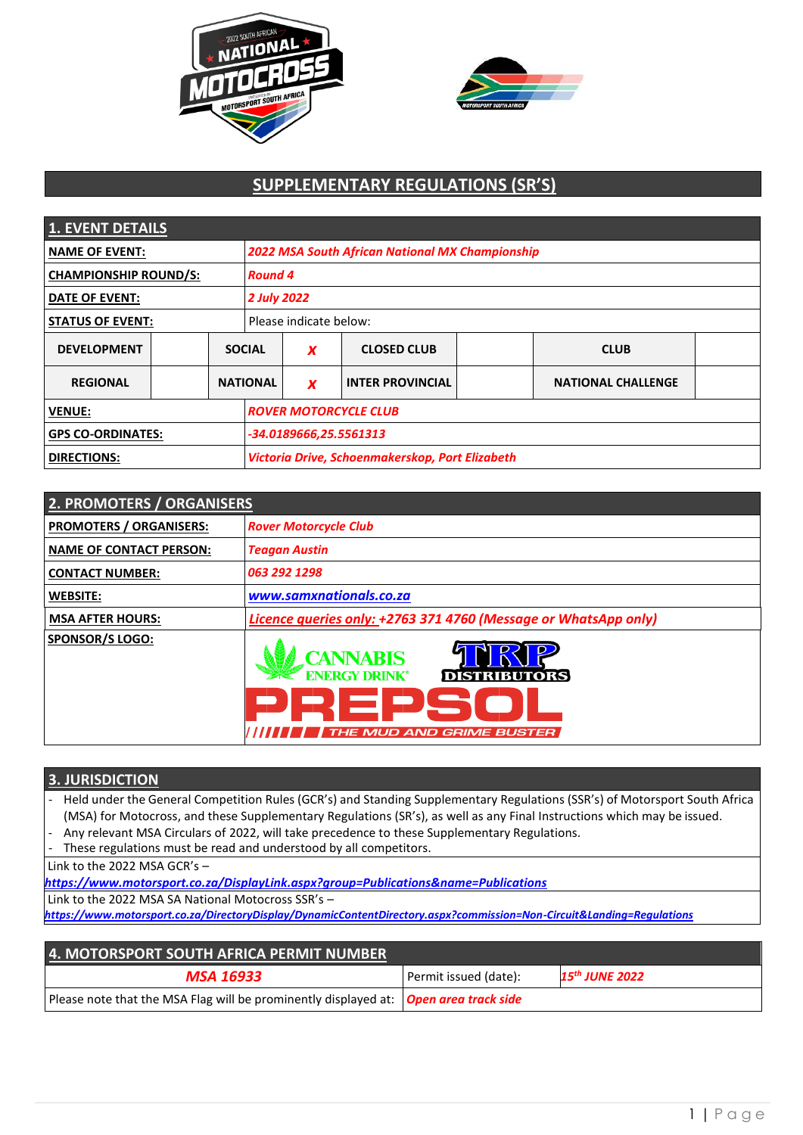



# **SUPPLEMENTARY REGULATIONS (SR'S)**

| <b>1. EVENT DETAILS</b>      |  |                        |                                                        |                  |                         |  |                           |  |
|------------------------------|--|------------------------|--------------------------------------------------------|------------------|-------------------------|--|---------------------------|--|
| <b>NAME OF EVENT:</b>        |  |                        | <b>2022 MSA South African National MX Championship</b> |                  |                         |  |                           |  |
| <b>CHAMPIONSHIP ROUND/S:</b> |  |                        | <b>Round 4</b>                                         |                  |                         |  |                           |  |
| <b>DATE OF EVENT:</b>        |  |                        | <b>2 July 2022</b>                                     |                  |                         |  |                           |  |
| <b>STATUS OF EVENT:</b>      |  | Please indicate below: |                                                        |                  |                         |  |                           |  |
| <b>DEVELOPMENT</b>           |  |                        | <b>SOCIAL</b>                                          | X                | <b>CLOSED CLUB</b>      |  | <b>CLUB</b>               |  |
| <b>REGIONAL</b>              |  | <b>NATIONAL</b>        |                                                        | $\boldsymbol{x}$ | <b>INTER PROVINCIAL</b> |  | <b>NATIONAL CHALLENGE</b> |  |
| <b>VENUE:</b>                |  |                        | <b>ROVER MOTORCYCLE CLUB</b>                           |                  |                         |  |                           |  |
| <b>GPS CO-ORDINATES:</b>     |  |                        | -34.0189666,25.5561313                                 |                  |                         |  |                           |  |
| <b>DIRECTIONS:</b>           |  |                        | Victoria Drive, Schoenmakerskop, Port Elizabeth        |                  |                         |  |                           |  |

| 2. PROMOTERS / ORGANISERS      |                                                                                                               |
|--------------------------------|---------------------------------------------------------------------------------------------------------------|
| <b>PROMOTERS / ORGANISERS:</b> | <b>Rover Motorcycle Club</b>                                                                                  |
| <b>NAME OF CONTACT PERSON:</b> | <b>Teagan Austin</b>                                                                                          |
| <b>CONTACT NUMBER:</b>         | 063 292 1298                                                                                                  |
| <b>WEBSITE:</b>                | www.samxnationals.co.za                                                                                       |
| <b>MSA AFTER HOURS:</b>        | Licence queries only: +2763 371 4760 (Message or WhatsApp only)                                               |
| <b>SPONSOR/S LOGO:</b>         | <b>CANNABIS</b><br><b>ENERGY DRINK®</b><br><b>DISTRIBUTORS</b><br>EDS<br><b>D</b><br>THE MUD AND GRIME BUSTER |

# **3. JURISDICTION**

- Held under the General Competition Rules (GCR's) and Standing Supplementary Regulations (SSR's) of Motorsport South Africa (MSA) for Motocross, and these Supplementary Regulations (SR's), as well as any Final Instructions which may be issued.
- Any relevant MSA Circulars of 2022, will take precedence to these Supplementary Regulations.
- These regulations must be read and understood by all competitors.

Link to the 2022 MSA GCR's –

*<https://www.motorsport.co.za/DisplayLink.aspx?group=Publications&name=Publications>*

Link to the 2022 MSA SA National Motocross SSR's –

*<https://www.motorsport.co.za/DirectoryDisplay/DynamicContentDirectory.aspx?commission=Non-Circuit&Landing=Regulations>*

| 4. MOTORSPORT SOUTH AFRICA PERMIT NUMBER                                               |                       |                            |  |
|----------------------------------------------------------------------------------------|-----------------------|----------------------------|--|
| <b>MSA 16933</b>                                                                       | Permit issued (date): | 15 <sup>th</sup> JUNE 2022 |  |
| Please note that the MSA Flag will be prominently displayed at:   Open area track side |                       |                            |  |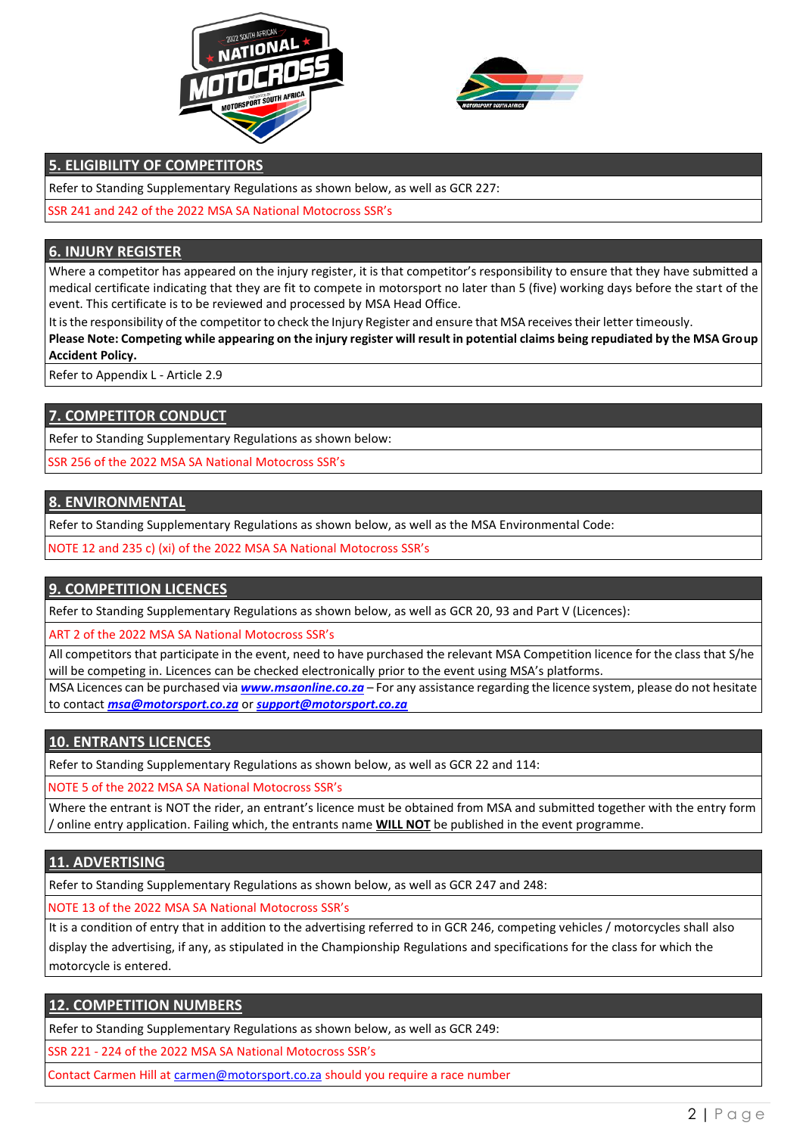



# **5. ELIGIBILITY OF COMPETITORS**

Refer to Standing Supplementary Regulations as shown below, as well as GCR 227:

SSR 241 and 242 of the 2022 MSA SA National Motocross SSR's

#### **6. INJURY REGISTER**

Where a competitor has appeared on the injury register, it is that competitor's responsibility to ensure that they have submitted a medical certificate indicating that they are fit to compete in motorsport no later than 5 (five) working days before the start of the event. This certificate is to be reviewed and processed by MSA Head Office.

It is the responsibility of the competitor to check the Injury Register and ensure that MSA receives their letter timeously.

**Please Note: Competing while appearing on the injury register will result in potential claims being repudiated by the MSA Group Accident Policy.**

Refer to Appendix L - Article 2.9

# **7. COMPETITOR CONDUCT**

Refer to Standing Supplementary Regulations as shown below:

SSR 256 of the 2022 MSA SA National Motocross SSR's

#### **8. ENVIRONMENTAL**

Refer to Standing Supplementary Regulations as shown below, as well as the MSA Environmental Code:

NOTE 12 and 235 c) (xi) of the 2022 MSA SA National Motocross SSR's

# **9. COMPETITION LICENCES**

Refer to Standing Supplementary Regulations as shown below, as well as GCR 20, 93 and Part V (Licences):

ART 2 of the 2022 MSA SA National Motocross SSR's

All competitors that participate in the event, need to have purchased the relevant MSA Competition licence for the class that S/he will be competing in. Licences can be checked electronically prior to the event using MSA's platforms.

MSA Licences can be purchased via *[www.msaonline.co.za](http://www.msaonline.co.za/)* – For any assistance regarding the licence system, please do not hesitate to contact *[msa@motorsport.co.za](mailto:msa@motorsport.co.za)* or *[support@motorsport.co.za](mailto:support@motorsport.co.za)*

# **10. ENTRANTS LICENCES**

Refer to Standing Supplementary Regulations as shown below, as well as GCR 22 and 114:

NOTE 5 of the 2022 MSA SA National Motocross SSR's

Where the entrant is NOT the rider, an entrant's licence must be obtained from MSA and submitted together with the entry form / online entry application. Failing which, the entrants name **WILL NOT** be published in the event programme.

# **11. ADVERTISING**

Refer to Standing Supplementary Regulations as shown below, as well as GCR 247 and 248:

NOTE 13 of the 2022 MSA SA National Motocross SSR's

It is a condition of entry that in addition to the advertising referred to in GCR 246, competing vehicles / motorcycles shall also display the advertising, if any, as stipulated in the Championship Regulations and specifications for the class for which the motorcycle is entered.

# **12. COMPETITION NUMBERS**

Refer to Standing Supplementary Regulations as shown below, as well as GCR 249:

SSR 221 - 224 of the 2022 MSA SA National Motocross SSR's

Contact Carmen Hill at [carmen@motorsport.co.za](mailto:carmen@motorsport.co.za) should you require a race number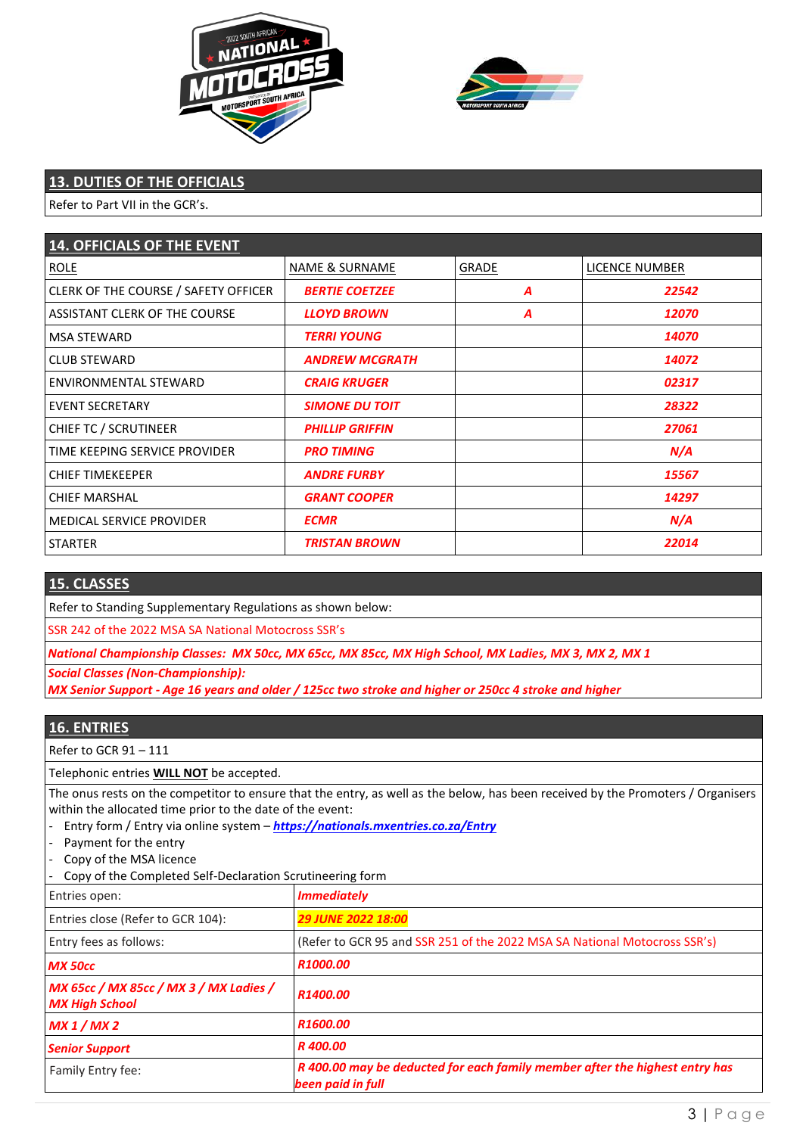



# **13. DUTIES OF THE OFFICIALS**

Refer to Part VII in the GCR's.

| <b>14. OFFICIALS OF THE EVENT</b>    |                           |              |                     |
|--------------------------------------|---------------------------|--------------|---------------------|
| <b>ROLE</b>                          | <b>NAME &amp; SURNAME</b> | <b>GRADE</b> | LICENCE NUMBER      |
| CLERK OF THE COURSE / SAFETY OFFICER | <b>BERTIE COETZEE</b>     | A            | 22542               |
| ASSISTANT CLERK OF THE COURSE        | <b>LLOYD BROWN</b>        | A            | <i><b>12070</b></i> |
| <b>MSA STEWARD</b>                   | <b>TERRI YOUNG</b>        |              | 14070               |
| <b>CLUB STEWARD</b>                  | <b>ANDREW MCGRATH</b>     |              | 14072               |
| ENVIRONMENTAL STEWARD                | <b>CRAIG KRUGER</b>       |              | 02317               |
| <b>EVENT SECRETARY</b>               | <b>SIMONE DU TOIT</b>     |              | 28322               |
| CHIEF TC / SCRUTINEER                | <b>PHILLIP GRIFFIN</b>    |              | 27061               |
| TIME KEEPING SERVICE PROVIDER        | <b>PRO TIMING</b>         |              | N/A                 |
| <b>CHIEF TIMEKEEPER</b>              | <b>ANDRE FURBY</b>        |              | 15567               |
| <b>CHIEF MARSHAL</b>                 | <b>GRANT COOPER</b>       |              | 14297               |
| <b>MEDICAL SERVICE PROVIDER</b>      | <b>ECMR</b>               |              | N/A                 |
| <b>STARTER</b>                       | <b>TRISTAN BROWN</b>      |              | 22014               |

#### **15. CLASSES**

Refer to Standing Supplementary Regulations as shown below:

SSR 242 of the 2022 MSA SA National Motocross SSR's

 *National Championship Classes: MX 50cc, MX 65cc, MX 85cc, MX High School, MX Ladies, MX 3, MX 2, MX 1* 

 *Social Classes (Non-Championship):* 

 *MX Senior Support - Age 16 years and older / 125cc two stroke and higher or 250cc 4 stroke and higher* 

# **16. ENTRIES**

Refer to GCR 91 – 111

Telephonic entries **WILL NOT** be accepted.

The onus rests on the competitor to ensure that the entry, as well as the below, has been received by the Promoters / Organisers within the allocated time prior to the date of the event:

- Entry form / Entry via online system – *<https://nationals.mxentries.co.za/Entry>*

- Payment for the entry
- Copy of the MSA licence

- Copy of the Completed Self-Declaration Scrutineering form

| Entries open:                                                   | <b>Immediately</b>                                                                               |
|-----------------------------------------------------------------|--------------------------------------------------------------------------------------------------|
| Entries close (Refer to GCR 104):                               | <b>29 JUNE 2022 18:00</b>                                                                        |
| Entry fees as follows:                                          | (Refer to GCR 95 and SSR 251 of the 2022 MSA SA National Motocross SSR's)                        |
| <b>MX 50cc</b>                                                  | R1000.00                                                                                         |
| MX 65cc / MX 85cc / MX 3 / MX Ladies /<br><b>MX High School</b> | R1400.00                                                                                         |
| MX 1/MX 2                                                       | R1600.00                                                                                         |
| <b>Senior Support</b>                                           | R 400.00                                                                                         |
| Family Entry fee:                                               | R 400.00 may be deducted for each family member after the highest entry has<br>been paid in full |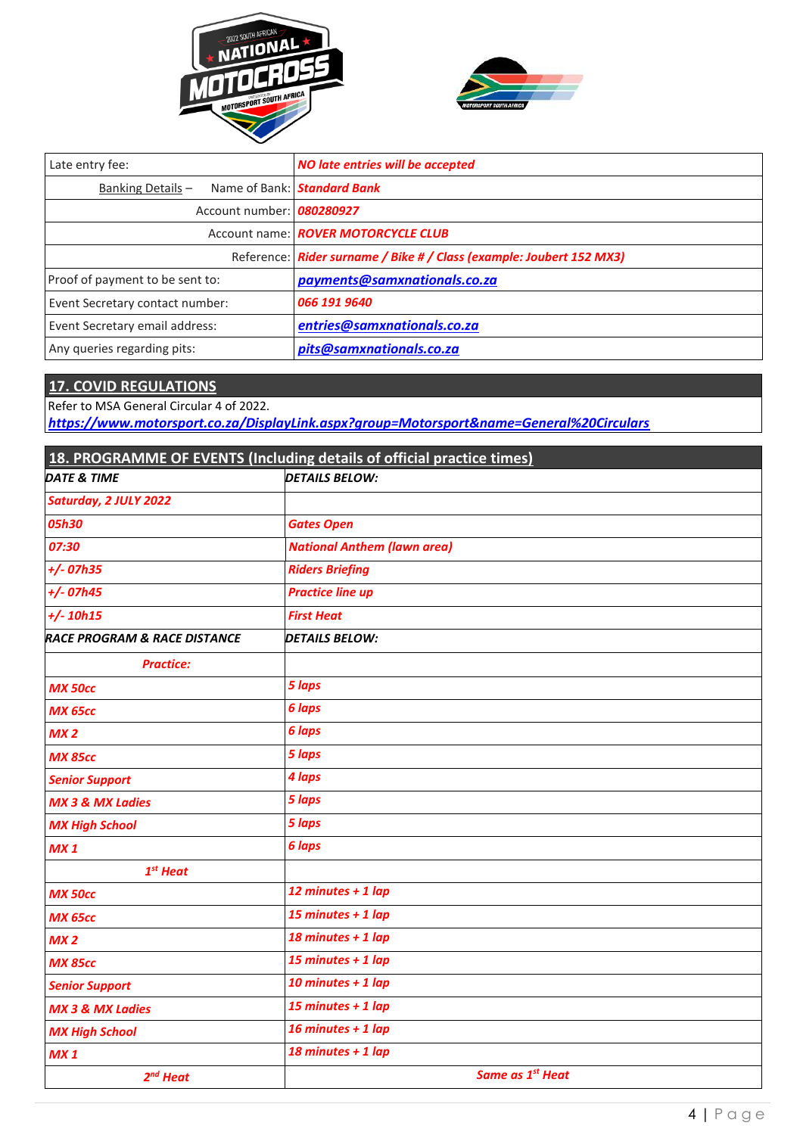



| Late entry fee:                 | NO late entries will be accepted                                     |  |
|---------------------------------|----------------------------------------------------------------------|--|
| Banking Details-                | Name of Bank: <b>Standard Bank</b>                                   |  |
| Account number: 080280927       |                                                                      |  |
|                                 | Account name: ROVER MOTORCYCLE CLUB                                  |  |
|                                 | Reference: Rider surname / Bike # / Class (example: Joubert 152 MX3) |  |
| Proof of payment to be sent to: | payments@samxnationals.co.za                                         |  |
| Event Secretary contact number: | 066 191 9640                                                         |  |
| Event Secretary email address:  | entries@samxnationals.co.za                                          |  |
| Any queries regarding pits:     | pits@samxnationals.co.za                                             |  |

# **17. COVID REGULATIONS**

Refer to MSA General Circular 4 of 2022.

*<https://www.motorsport.co.za/DisplayLink.aspx?group=Motorsport&name=General%20Circulars>*

| 18. PROGRAMME OF EVENTS (Including details of official practice times) |                                    |  |  |
|------------------------------------------------------------------------|------------------------------------|--|--|
| <b>DATE &amp; TIME</b>                                                 | <b>DETAILS BELOW:</b>              |  |  |
| Saturday, 2 JULY 2022                                                  |                                    |  |  |
| 05h30                                                                  | <b>Gates Open</b>                  |  |  |
| 07:30                                                                  | <b>National Anthem (lawn area)</b> |  |  |
| $+/$ -07h35                                                            | <b>Riders Briefing</b>             |  |  |
| $+/- 07h45$                                                            | <b>Practice line up</b>            |  |  |
| $+/ 10h15$                                                             | <b>First Heat</b>                  |  |  |
| <b>RACE PROGRAM &amp; RACE DISTANCE</b>                                | <b>DETAILS BELOW:</b>              |  |  |
| <b>Practice:</b>                                                       |                                    |  |  |
| <b>MX 50cc</b>                                                         | 5 laps                             |  |  |
| <b>MX 65cc</b>                                                         | 6 laps                             |  |  |
| MX <sub>2</sub>                                                        | 6 laps                             |  |  |
| <b>MX 85cc</b>                                                         | 5 laps                             |  |  |
| <b>Senior Support</b>                                                  | 4 laps                             |  |  |
| <b>MX 3 &amp; MX Ladies</b>                                            | 5 laps                             |  |  |
| <b>MX High School</b>                                                  | 5 laps                             |  |  |
| MX 1                                                                   | 6 laps                             |  |  |
| $1st$ Heat                                                             |                                    |  |  |
| <b>MX 50cc</b>                                                         | 12 minutes + 1 lap                 |  |  |
| <b>MX 65cc</b>                                                         | 15 minutes + $1$ lap               |  |  |
| MX <sub>2</sub>                                                        | 18 minutes + 1 lap                 |  |  |
| <b>MX 85cc</b>                                                         | 15 minutes + $1$ lap               |  |  |
| <b>Senior Support</b>                                                  | 10 minutes + $1$ lap               |  |  |
| <b>MX 3 &amp; MX Ladies</b>                                            | 15 minutes + $1$ lap               |  |  |
| <b>MX High School</b>                                                  | 16 minutes + $1$ lap               |  |  |
| MX 1                                                                   | 18 minutes + 1 lap                 |  |  |
| $2nd$ Heat                                                             | Same as 1 <sup>st</sup> Heat       |  |  |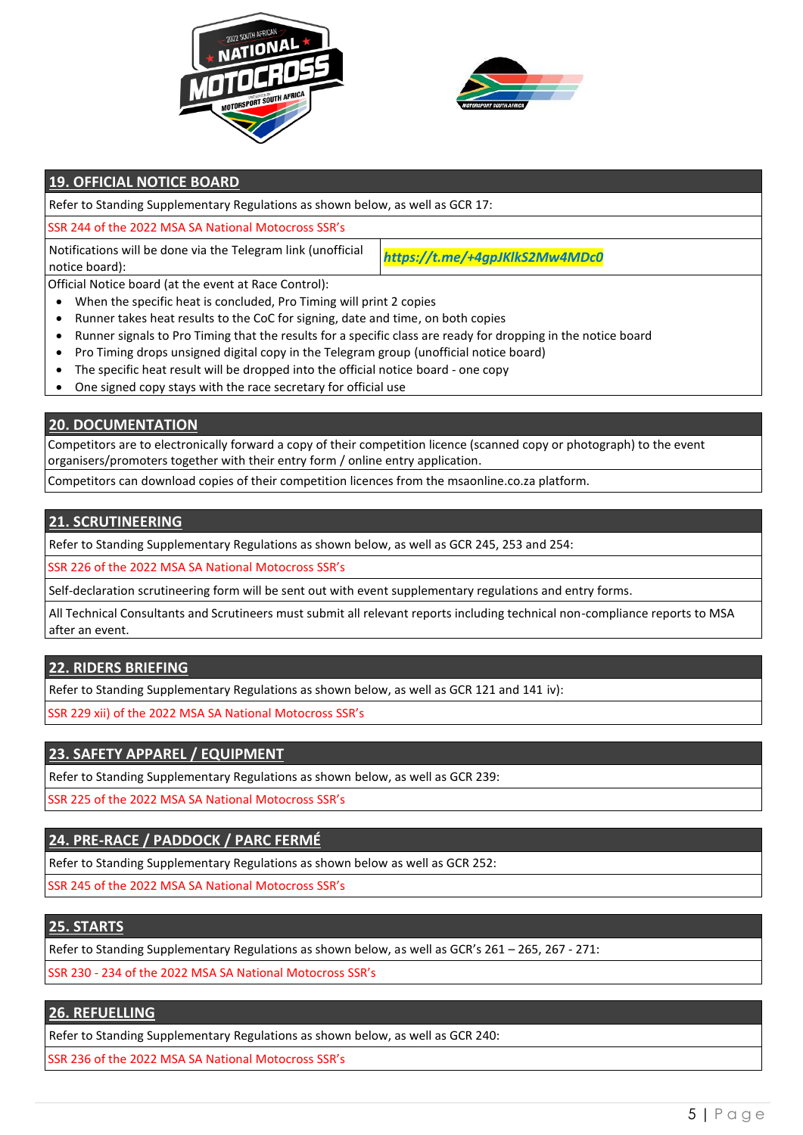



# **19. OFFICIAL NOTICE BOARD**

Refer to Standing Supplementary Regulations as shown below, as well as GCR 17:

SSR 244 of the 2022 MSA SA National Motocross SSR's

Notifications will be done via the Telegram link (unofficial notice board):

*https://t.me/+4gpJKlkS2Mw4MDc0*

Official Notice board (at the event at Race Control):

- When the specific heat is concluded, Pro Timing will print 2 copies
- Runner takes heat results to the CoC for signing, date and time, on both copies
- Runner signals to Pro Timing that the results for a specific class are ready for dropping in the notice board
- Pro Timing drops unsigned digital copy in the Telegram group (unofficial notice board)
- The specific heat result will be dropped into the official notice board one copy
- One signed copy stays with the race secretary for official use

**20. DOCUMENTATION** 

 Competitors are to electronically forward a copy of their competition licence (scanned copy or photograph) to the event organisers/promoters together with their entry form / online entry application.

Competitors can download copies of their competition licences from the msaonline.co.za platform.

#### **21. SCRUTINEERING**

Refer to Standing Supplementary Regulations as shown below, as well as GCR 245, 253 and 254:

SSR 226 of the 2022 MSA SA National Motocross SSR's

Self-declaration scrutineering form will be sent out with event supplementary regulations and entry forms.

All Technical Consultants and Scrutineers must submit all relevant reports including technical non-compliance reports to MSA after an event.

# **22. RIDERS BRIEFING**

Refer to Standing Supplementary Regulations as shown below, as well as GCR 121 and 141 iv):

SSR 229 xii) of the 2022 MSA SA National Motocross SSR's

# **23. SAFETY APPAREL / EQUIPMENT**

Refer to Standing Supplementary Regulations as shown below, as well as GCR 239:

SSR 225 of the 2022 MSA SA National Motocross SSR's

# **24. PRE-RACE / PADDOCK / PARC FERMÉ**

Refer to Standing Supplementary Regulations as shown below as well as GCR 252:

SSR 245 of the 2022 MSA SA National Motocross SSR's

# **25. STARTS**

Refer to Standing Supplementary Regulations as shown below, as well as GCR's 261 – 265, 267 - 271:

SSR 230 - 234 of the 2022 MSA SA National Motocross SSR's

# **26. REFUELLING**

Refer to Standing Supplementary Regulations as shown below, as well as GCR 240:

SSR 236 of the 2022 MSA SA National Motocross SSR's